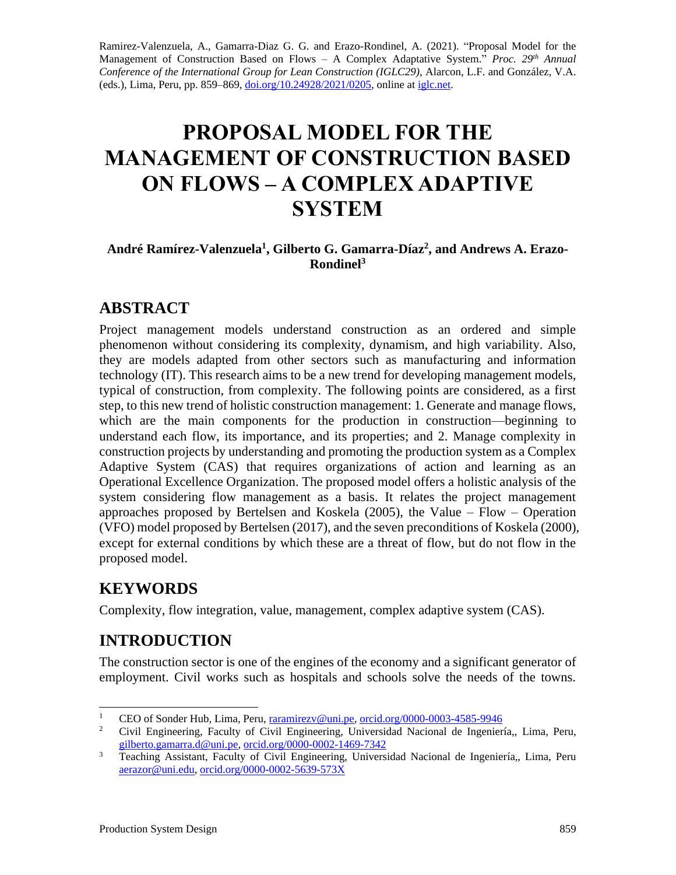Ramirez-Valenzuela, A., Gamarra-Diaz G. G. and Erazo-Rondinel, A. (2021). "Proposal Model for the Management of Construction Based on Flows – A Complex Adaptative System." *Proc.* 29<sup>th</sup> Annual *Conference of the International Group for Lean Construction (IGLC29),* Alarcon, L.F. and González, V.A. (eds.)*,* Lima, Peru, pp. 859–869, [doi.org/10.24928/2021/0205,](https://doi.org/10.24928/2021/0205) online a[t iglc.net.](http://iglc.net/)

# **PROPOSAL MODEL FOR THE MANAGEMENT OF CONSTRUCTION BASED ON FLOWS – A COMPLEX ADAPTIVE SYSTEM**

#### **André Ramírez-Valenzuela<sup>1</sup> , Gilberto G. Gamarra-Díaz<sup>2</sup> , and Andrews A. Erazo-Rondinel<sup>3</sup>**

### **ABSTRACT**

Project management models understand construction as an ordered and simple phenomenon without considering its complexity, dynamism, and high variability. Also, they are models adapted from other sectors such as manufacturing and information technology (IT). This research aims to be a new trend for developing management models, typical of construction, from complexity. The following points are considered, as a first step, to this new trend of holistic construction management: 1. Generate and manage flows, which are the main components for the production in construction—beginning to understand each flow, its importance, and its properties; and 2. Manage complexity in construction projects by understanding and promoting the production system as a Complex Adaptive System (CAS) that requires organizations of action and learning as an Operational Excellence Organization. The proposed model offers a holistic analysis of the system considering flow management as a basis. It relates the project management approaches proposed by Bertelsen and Koskela (2005), the Value – Flow – Operation (VFO) model proposed by Bertelsen (2017), and the seven preconditions of Koskela (2000), except for external conditions by which these are a threat of flow, but do not flow in the proposed model.

# **KEYWORDS**

Complexity, flow integration, value, management, complex adaptive system (CAS).

# **INTRODUCTION**

The construction sector is one of the engines of the economy and a significant generator of employment. Civil works such as hospitals and schools solve the needs of the towns.

<sup>&</sup>lt;sup>1</sup> CEO of Sonder Hub, Lima, Peru, <u>[raramirezv@uni.pe,](mailto:raramirezv@uni.pe) [orcid.org/0000-0003-4585-9946](https://orcid.org/0000-0003-4585-9946)</u><br><sup>2</sup> Civil Engineering, Esculty of Civil Engineering, Universided Necional de Incenier

<sup>2</sup> Civil Engineering, Faculty of Civil Engineering, Universidad Nacional de Ingeniería,, Lima, Peru, [gilberto.gamarra.d@uni.pe,](mailto:gilberto.gamarra.d@uni.pe) [orcid.org/0000-0002-1469-7342](https://orcid.org/0000-0002-1469-7342)

<sup>&</sup>lt;sup>3</sup> Teaching Assistant, Faculty of Civil Engineering, Universidad Nacional de Ingeniería,, Lima, Peru [aerazor@uni.edu,](mailto:aerazor@uni.edu) [orcid.org/0000-0002-5639-573X](https://orcid.org/0000-0002-5639-573X)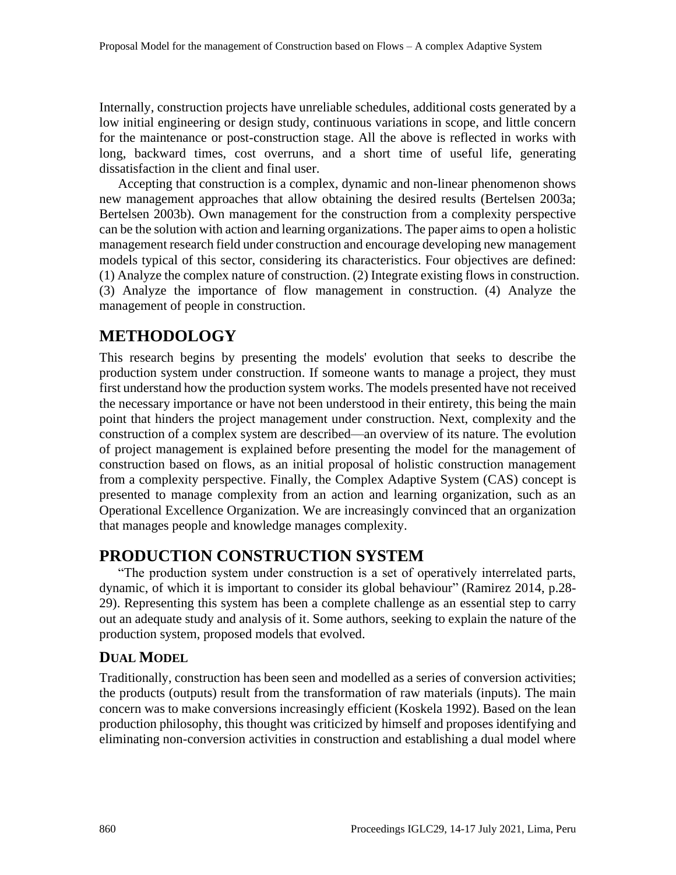Internally, construction projects have unreliable schedules, additional costs generated by a low initial engineering or design study, continuous variations in scope, and little concern for the maintenance or post-construction stage. All the above is reflected in works with long, backward times, cost overruns, and a short time of useful life, generating dissatisfaction in the client and final user.

Accepting that construction is a complex, dynamic and non-linear phenomenon shows new management approaches that allow obtaining the desired results (Bertelsen 2003a; Bertelsen 2003b). Own management for the construction from a complexity perspective can be the solution with action and learning organizations. The paper aims to open a holistic management research field under construction and encourage developing new management models typical of this sector, considering its characteristics. Four objectives are defined: (1) Analyze the complex nature of construction. (2) Integrate existing flows in construction. (3) Analyze the importance of flow management in construction. (4) Analyze the management of people in construction.

# **METHODOLOGY**

This research begins by presenting the models' evolution that seeks to describe the production system under construction. If someone wants to manage a project, they must first understand how the production system works. The models presented have not received the necessary importance or have not been understood in their entirety, this being the main point that hinders the project management under construction. Next, complexity and the construction of a complex system are described—an overview of its nature. The evolution of project management is explained before presenting the model for the management of construction based on flows, as an initial proposal of holistic construction management from a complexity perspective. Finally, the Complex Adaptive System (CAS) concept is presented to manage complexity from an action and learning organization, such as an Operational Excellence Organization. We are increasingly convinced that an organization that manages people and knowledge manages complexity.

# **PRODUCTION CONSTRUCTION SYSTEM**

"The production system under construction is a set of operatively interrelated parts, dynamic, of which it is important to consider its global behaviour" (Ramirez 2014, p.28- 29). Representing this system has been a complete challenge as an essential step to carry out an adequate study and analysis of it. Some authors, seeking to explain the nature of the production system, proposed models that evolved.

### **DUAL MODEL**

Traditionally, construction has been seen and modelled as a series of conversion activities; the products (outputs) result from the transformation of raw materials (inputs). The main concern was to make conversions increasingly efficient (Koskela 1992). Based on the lean production philosophy, this thought was criticized by himself and proposes identifying and eliminating non-conversion activities in construction and establishing a dual model where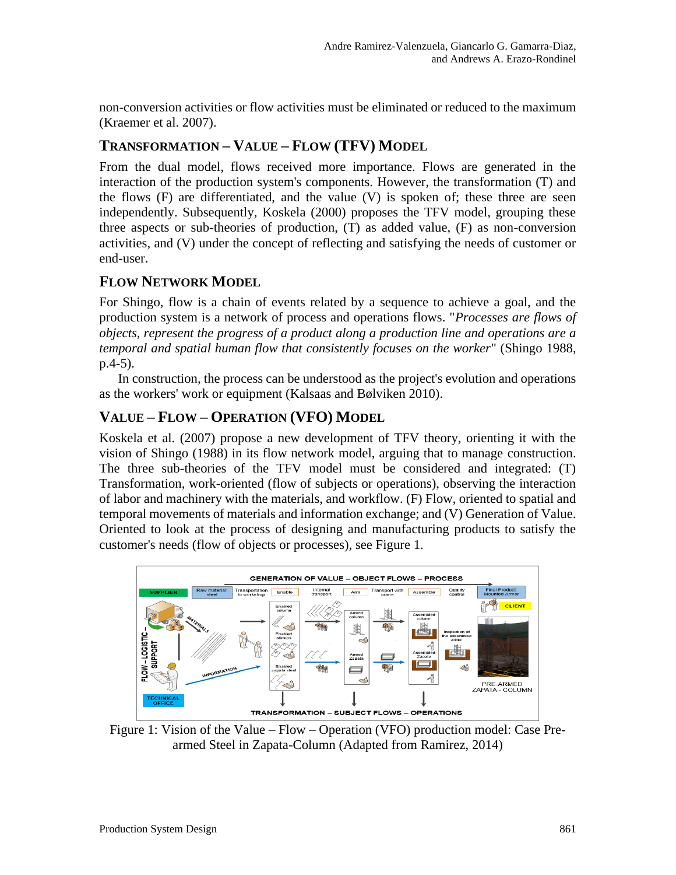non-conversion activities or flow activities must be eliminated or reduced to the maximum (Kraemer et al. 2007).

### **TRANSFORMATION – VALUE – FLOW (TFV) MODEL**

From the dual model, flows received more importance. Flows are generated in the interaction of the production system's components. However, the transformation (T) and the flows (F) are differentiated, and the value (V) is spoken of; these three are seen independently. Subsequently, Koskela (2000) proposes the TFV model, grouping these three aspects or sub-theories of production, (T) as added value, (F) as non-conversion activities, and (V) under the concept of reflecting and satisfying the needs of customer or end-user.

### **FLOW NETWORK MODEL**

For Shingo, flow is a chain of events related by a sequence to achieve a goal, and the production system is a network of process and operations flows. "*Processes are flows of objects, represent the progress of a product along a production line and operations are a temporal and spatial human flow that consistently focuses on the worker*" (Shingo 1988, p.4-5).

In construction, the process can be understood as the project's evolution and operations as the workers' work or equipment (Kalsaas and Bølviken 2010).

### **VALUE – FLOW – OPERATION (VFO) MODEL**

Koskela et al. (2007) propose a new development of TFV theory, orienting it with the vision of Shingo (1988) in its flow network model, arguing that to manage construction. The three sub-theories of the TFV model must be considered and integrated: (T) Transformation, work-oriented (flow of subjects or operations), observing the interaction of labor and machinery with the materials, and workflow. (F) Flow, oriented to spatial and temporal movements of materials and information exchange; and (V) Generation of Value. Oriented to look at the process of designing and manufacturing products to satisfy the customer's needs (flow of objects or processes), see Figure 1.



Figure 1: Vision of the Value – Flow – Operation (VFO) production model: Case Prearmed Steel in Zapata-Column (Adapted from Ramirez, 2014)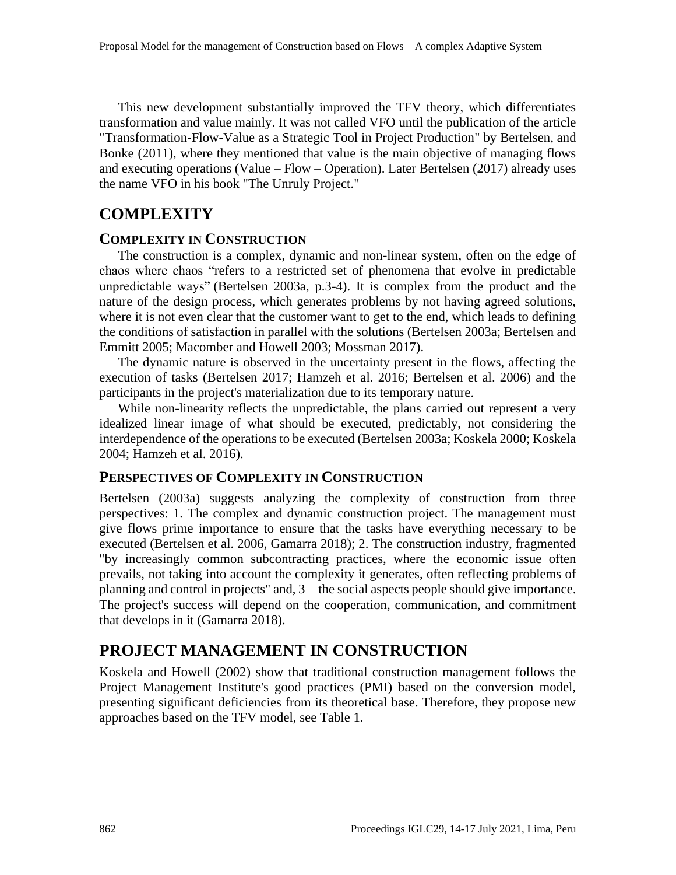This new development substantially improved the TFV theory, which differentiates transformation and value mainly. It was not called VFO until the publication of the article "Transformation-Flow-Value as a Strategic Tool in Project Production" by Bertelsen, and Bonke (2011), where they mentioned that value is the main objective of managing flows and executing operations (Value – Flow – Operation). Later Bertelsen (2017) already uses the name VFO in his book "The Unruly Project."

# **COMPLEXITY**

#### **COMPLEXITY IN CONSTRUCTION**

The construction is a complex, dynamic and non-linear system, often on the edge of chaos where chaos "refers to a restricted set of phenomena that evolve in predictable unpredictable ways" (Bertelsen 2003a, p.3-4). It is complex from the product and the nature of the design process, which generates problems by not having agreed solutions, where it is not even clear that the customer want to get to the end, which leads to defining the conditions of satisfaction in parallel with the solutions (Bertelsen 2003a; Bertelsen and Emmitt 2005; Macomber and Howell 2003; Mossman 2017).

The dynamic nature is observed in the uncertainty present in the flows, affecting the execution of tasks (Bertelsen 2017; Hamzeh et al. 2016; Bertelsen et al. 2006) and the participants in the project's materialization due to its temporary nature.

While non-linearity reflects the unpredictable, the plans carried out represent a very idealized linear image of what should be executed, predictably, not considering the interdependence of the operations to be executed (Bertelsen 2003a; Koskela 2000; Koskela 2004; Hamzeh et al. 2016).

#### **PERSPECTIVES OF COMPLEXITY IN CONSTRUCTION**

Bertelsen (2003a) suggests analyzing the complexity of construction from three perspectives: 1. The complex and dynamic construction project. The management must give flows prime importance to ensure that the tasks have everything necessary to be executed (Bertelsen et al. 2006, Gamarra 2018); 2. The construction industry, fragmented "by increasingly common subcontracting practices, where the economic issue often prevails, not taking into account the complexity it generates, often reflecting problems of planning and control in projects" and, 3—the social aspects people should give importance. The project's success will depend on the cooperation, communication, and commitment that develops in it (Gamarra 2018).

## **PROJECT MANAGEMENT IN CONSTRUCTION**

Koskela and Howell (2002) show that traditional construction management follows the Project Management Institute's good practices (PMI) based on the conversion model, presenting significant deficiencies from its theoretical base. Therefore, they propose new approaches based on the TFV model, see Table 1.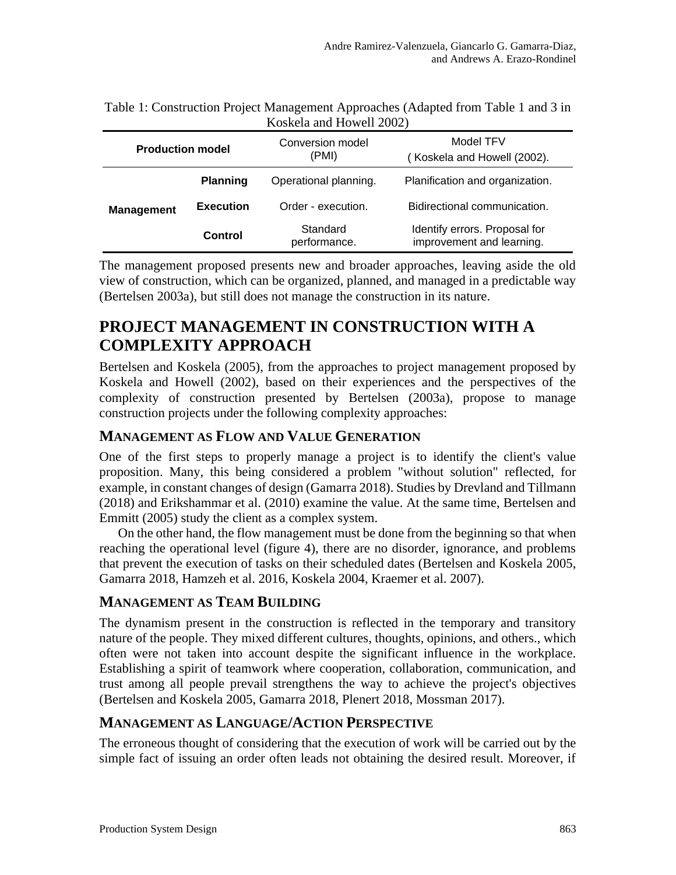| <b>Production model</b> |                  | Conversion model<br>(PMI) | Model TFV<br>(Koskela and Howell (2002).                   |
|-------------------------|------------------|---------------------------|------------------------------------------------------------|
|                         | <b>Planning</b>  | Operational planning.     | Planification and organization.                            |
| <b>Management</b>       | <b>Execution</b> | Order - execution.        | Bidirectional communication.                               |
|                         | Control          | Standard<br>performance.  | Identify errors. Proposal for<br>improvement and learning. |

Table 1: Construction Project Management Approaches (Adapted from Table 1 and 3 in Koskela and Howell 2002)

The management proposed presents new and broader approaches, leaving aside the old view of construction, which can be organized, planned, and managed in a predictable way (Bertelsen 2003a), but still does not manage the construction in its nature.

# **PROJECT MANAGEMENT IN CONSTRUCTION WITH A COMPLEXITY APPROACH**

Bertelsen and Koskela (2005), from the approaches to project management proposed by Koskela and Howell (2002), based on their experiences and the perspectives of the complexity of construction presented by Bertelsen (2003a), propose to manage construction projects under the following complexity approaches:

### **MANAGEMENT AS FLOW AND VALUE GENERATION**

One of the first steps to properly manage a project is to identify the client's value proposition. Many, this being considered a problem "without solution" reflected, for example, in constant changes of design (Gamarra 2018). Studies by Drevland and Tillmann (2018) and Erikshammar et al. (2010) examine the value. At the same time, Bertelsen and Emmitt (2005) study the client as a complex system.

On the other hand, the flow management must be done from the beginning so that when reaching the operational level (figure 4), there are no disorder, ignorance, and problems that prevent the execution of tasks on their scheduled dates (Bertelsen and Koskela 2005, Gamarra 2018, Hamzeh et al. 2016, Koskela 2004, Kraemer et al. 2007).

### **MANAGEMENT AS TEAM BUILDING**

The dynamism present in the construction is reflected in the temporary and transitory nature of the people. They mixed different cultures, thoughts, opinions, and others., which often were not taken into account despite the significant influence in the workplace. Establishing a spirit of teamwork where cooperation, collaboration, communication, and trust among all people prevail strengthens the way to achieve the project's objectives (Bertelsen and Koskela 2005, Gamarra 2018, Plenert 2018, Mossman 2017).

### **MANAGEMENT AS LANGUAGE/ACTION PERSPECTIVE**

The erroneous thought of considering that the execution of work will be carried out by the simple fact of issuing an order often leads not obtaining the desired result. Moreover, if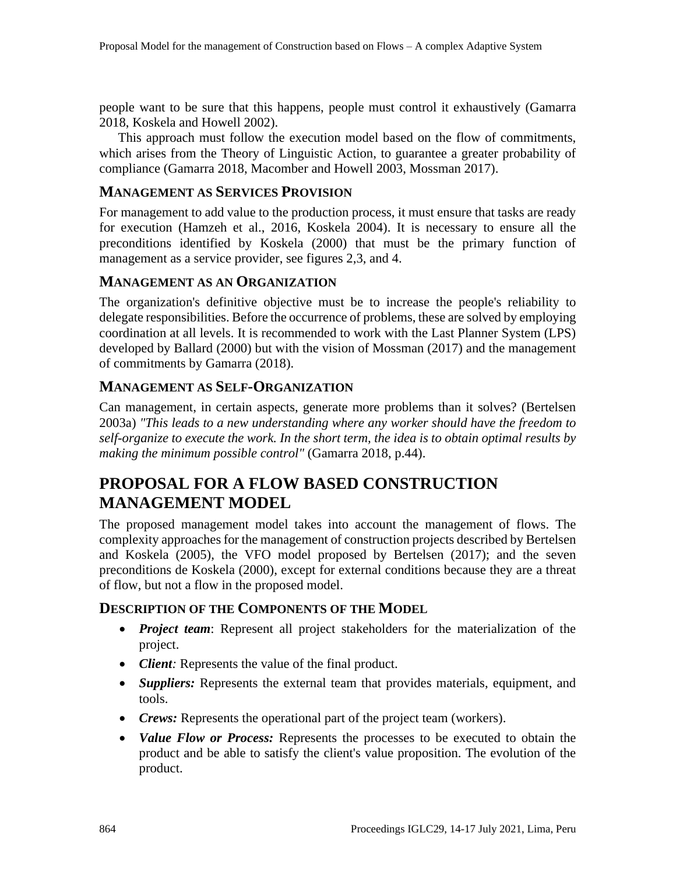people want to be sure that this happens, people must control it exhaustively (Gamarra 2018, Koskela and Howell 2002).

This approach must follow the execution model based on the flow of commitments, which arises from the Theory of Linguistic Action, to guarantee a greater probability of compliance (Gamarra 2018, Macomber and Howell 2003, Mossman 2017).

#### **MANAGEMENT AS SERVICES PROVISION**

For management to add value to the production process, it must ensure that tasks are ready for execution (Hamzeh et al., 2016, Koskela 2004). It is necessary to ensure all the preconditions identified by Koskela (2000) that must be the primary function of management as a service provider, see figures 2,3, and 4.

#### **MANAGEMENT AS AN ORGANIZATION**

The organization's definitive objective must be to increase the people's reliability to delegate responsibilities. Before the occurrence of problems, these are solved by employing coordination at all levels. It is recommended to work with the Last Planner System (LPS) developed by Ballard (2000) but with the vision of Mossman (2017) and the management of commitments by Gamarra (2018).

#### **MANAGEMENT AS SELF-ORGANIZATION**

Can management, in certain aspects, generate more problems than it solves? (Bertelsen 2003a) *"This leads to a new understanding where any worker should have the freedom to self-organize to execute the work. In the short term, the idea is to obtain optimal results by making the minimum possible control"* (Gamarra 2018, p.44).

# **PROPOSAL FOR A FLOW BASED CONSTRUCTION MANAGEMENT MODEL**

The proposed management model takes into account the management of flows. The complexity approaches for the management of construction projects described by Bertelsen and Koskela (2005), the VFO model proposed by Bertelsen (2017); and the seven preconditions de Koskela (2000), except for external conditions because they are a threat of flow, but not a flow in the proposed model.

#### **DESCRIPTION OF THE COMPONENTS OF THE MODEL**

- *Project team*: Represent all project stakeholders for the materialization of the project.
- *Client:* Represents the value of the final product.
- *Suppliers:* Represents the external team that provides materials, equipment, and tools.
- *Crews:* Represents the operational part of the project team (workers).
- *Value Flow or Process:* Represents the processes to be executed to obtain the product and be able to satisfy the client's value proposition. The evolution of the product.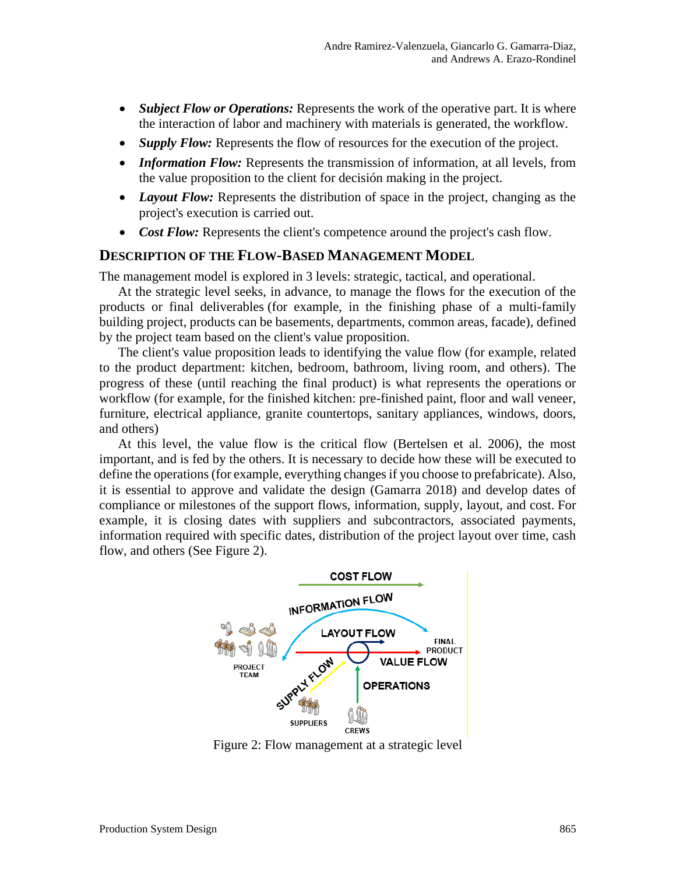- *Subject Flow or Operations:* Represents the work of the operative part. It is where the interaction of labor and machinery with materials is generated, the workflow.
- *Supply Flow:* Represents the flow of resources for the execution of the project.
- *Information Flow:* Represents the transmission of information, at all levels, from the value proposition to the client for decisión making in the project.
- *Layout Flow:* Represents the distribution of space in the project, changing as the project's execution is carried out.
- *Cost Flow:* Represents the client's competence around the project's cash flow.

#### **DESCRIPTION OF THE FLOW-BASED MANAGEMENT MODEL**

The management model is explored in 3 levels: strategic, tactical, and operational.

At the strategic level seeks, in advance, to manage the flows for the execution of the products or final deliverables (for example, in the finishing phase of a multi-family building project, products can be basements, departments, common areas, facade), defined by the project team based on the client's value proposition.

The client's value proposition leads to identifying the value flow (for example, related to the product department: kitchen, bedroom, bathroom, living room, and others). The progress of these (until reaching the final product) is what represents the operations or workflow (for example, for the finished kitchen: pre-finished paint, floor and wall veneer, furniture, electrical appliance, granite countertops, sanitary appliances, windows, doors, and others)

At this level, the value flow is the critical flow (Bertelsen et al. 2006), the most important, and is fed by the others. It is necessary to decide how these will be executed to define the operations (for example, everything changes if you choose to prefabricate). Also, it is essential to approve and validate the design (Gamarra 2018) and develop dates of compliance or milestones of the support flows, information, supply, layout, and cost. For example, it is closing dates with suppliers and subcontractors, associated payments, information required with specific dates, distribution of the project layout over time, cash flow, and others (See Figure 2).



Figure 2: Flow management at a strategic level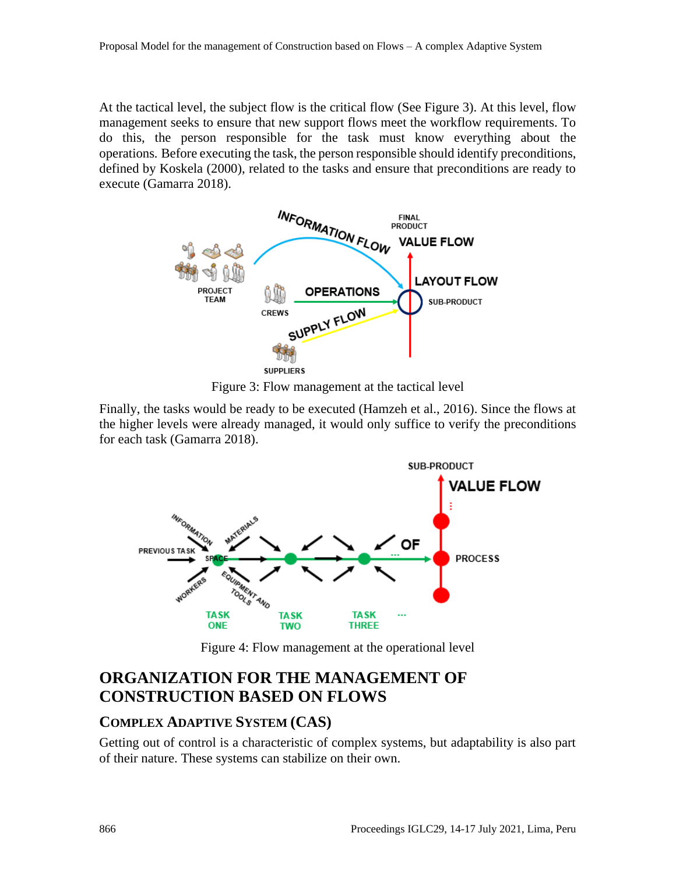At the tactical level, the subject flow is the critical flow (See Figure 3). At this level, flow management seeks to ensure that new support flows meet the workflow requirements. To do this, the person responsible for the task must know everything about the operations*.* Before executing the task, the person responsible should identify preconditions, defined by Koskela (2000), related to the tasks and ensure that preconditions are ready to execute (Gamarra 2018).



Figure 3: Flow management at the tactical level

Finally, the tasks would be ready to be executed (Hamzeh et al., 2016). Since the flows at the higher levels were already managed, it would only suffice to verify the preconditions for each task (Gamarra 2018).



Figure 4: Flow management at the operational level

# **ORGANIZATION FOR THE MANAGEMENT OF CONSTRUCTION BASED ON FLOWS**

### **COMPLEX ADAPTIVE SYSTEM (CAS)**

Getting out of control is a characteristic of complex systems, but adaptability is also part of their nature. These systems can stabilize on their own.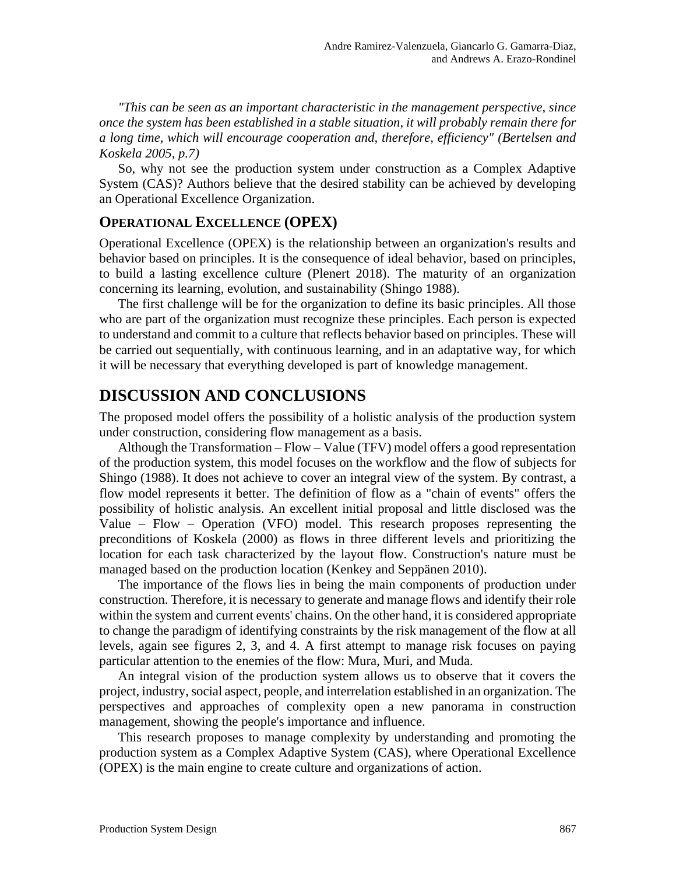*"This can be seen as an important characteristic in the management perspective, since once the system has been established in a stable situation, it will probably remain there for a long time, which will encourage cooperation and, therefore, efficiency" (Bertelsen and Koskela 2005, p.7)*

So, why not see the production system under construction as a Complex Adaptive System (CAS)? Authors believe that the desired stability can be achieved by developing an Operational Excellence Organization.

#### **OPERATIONAL EXCELLENCE (OPEX)**

Operational Excellence (OPEX) is the relationship between an organization's results and behavior based on principles. It is the consequence of ideal behavior, based on principles, to build a lasting excellence culture (Plenert 2018). The maturity of an organization concerning its learning, evolution, and sustainability (Shingo 1988).

The first challenge will be for the organization to define its basic principles. All those who are part of the organization must recognize these principles. Each person is expected to understand and commit to a culture that reflects behavior based on principles. These will be carried out sequentially, with continuous learning, and in an adaptative way, for which it will be necessary that everything developed is part of knowledge management.

### **DISCUSSION AND CONCLUSIONS**

The proposed model offers the possibility of a holistic analysis of the production system under construction, considering flow management as a basis.

Although the Transformation – Flow – Value (TFV) model offers a good representation of the production system, this model focuses on the workflow and the flow of subjects for Shingo (1988). It does not achieve to cover an integral view of the system. By contrast, a flow model represents it better. The definition of flow as a "chain of events" offers the possibility of holistic analysis. An excellent initial proposal and little disclosed was the Value – Flow – Operation (VFO) model. This research proposes representing the preconditions of Koskela (2000) as flows in three different levels and prioritizing the location for each task characterized by the layout flow. Construction's nature must be managed based on the production location (Kenkey and Seppänen 2010).

The importance of the flows lies in being the main components of production under construction. Therefore, it is necessary to generate and manage flows and identify their role within the system and current events' chains. On the other hand, it is considered appropriate to change the paradigm of identifying constraints by the risk management of the flow at all levels, again see figures 2, 3, and 4. A first attempt to manage risk focuses on paying particular attention to the enemies of the flow: Mura, Muri, and Muda.

An integral vision of the production system allows us to observe that it covers the project, industry, social aspect, people, and interrelation established in an organization. The perspectives and approaches of complexity open a new panorama in construction management, showing the people's importance and influence.

This research proposes to manage complexity by understanding and promoting the production system as a Complex Adaptive System (CAS), where Operational Excellence (OPEX) is the main engine to create culture and organizations of action.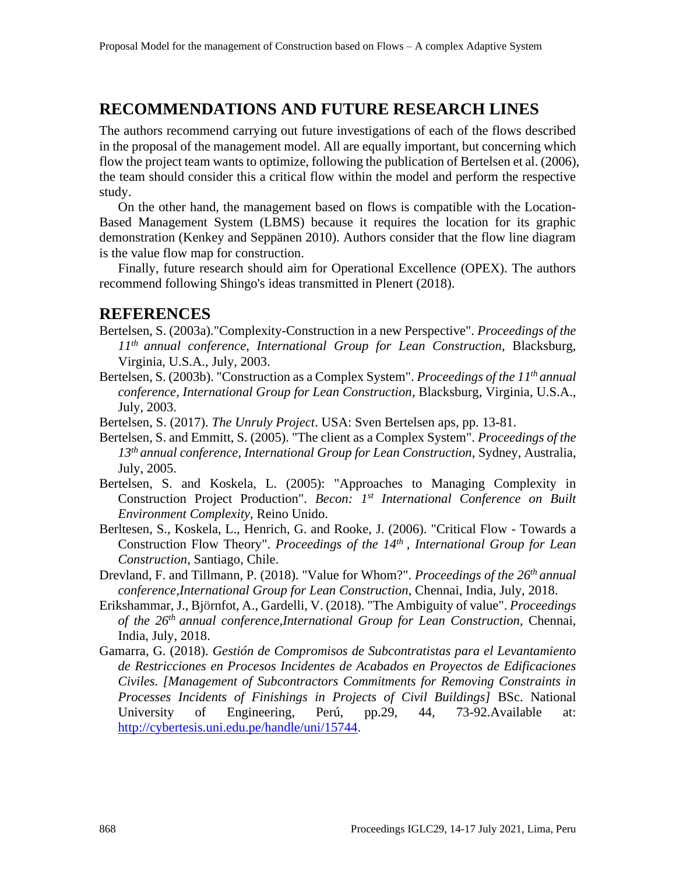### **RECOMMENDATIONS AND FUTURE RESEARCH LINES**

The authors recommend carrying out future investigations of each of the flows described in the proposal of the management model. All are equally important, but concerning which flow the project team wants to optimize, following the publication of Bertelsen et al. (2006), the team should consider this a critical flow within the model and perform the respective study.

On the other hand, the management based on flows is compatible with the Location-Based Management System (LBMS) because it requires the location for its graphic demonstration (Kenkey and Seppänen 2010). Authors consider that the flow line diagram is the value flow map for construction.

Finally, future research should aim for Operational Excellence (OPEX). The authors recommend following Shingo's ideas transmitted in Plenert (2018).

### **REFERENCES**

- Bertelsen, S. (2003a)."Complexity-Construction in a new Perspective". *Proceedings of the 11th annual conference, International Group for Lean Construction*, Blacksburg, Virginia, U.S.A., July, 2003.
- Bertelsen, S. (2003b). "Construction as a Complex System". *Proceedings of the 11th annual conference, International Group for Lean Construction*, Blacksburg, Virginia, U.S.A., July, 2003.
- Bertelsen, S. (2017). *The Unruly Project*. USA: Sven Bertelsen aps, pp. 13-81.
- Bertelsen, S. and Emmitt, S. (2005). "The client as a Complex System". *Proceedings of the 13th annual conference, International Group for Lean Construction*, Sydney, Australia, July, 2005.
- Bertelsen, S. and Koskela, L. (2005): "Approaches to Managing Complexity in Construction Project Production". *Becon: 1st International Conference on Built Environment Complexity*, Reino Unido.
- Berltesen, S., Koskela, L., Henrich, G. and Rooke, J. (2006). "Critical Flow Towards a Construction Flow Theory". *Proceedings of the 14th , International Group for Lean Construction*, Santiago, Chile.
- Drevland, F. and Tillmann, P. (2018). "Value for Whom?". *Proceedings of the 26th annual conference,International Group for Lean Construction*, Chennai, India, July, 2018.
- Erikshammar, J., Björnfot, A., Gardelli, V. (2018). "The Ambiguity of value". *Proceedings of the 26th annual conference,International Group for Lean Construction*, Chennai, India, July, 2018.
- Gamarra, G. (2018). *Gestión de Compromisos de Subcontratistas para el Levantamiento de Restricciones en Procesos Incidentes de Acabados en Proyectos de Edificaciones Civiles. [Management of Subcontractors Commitments for Removing Constraints in Processes Incidents of Finishings in Projects of Civil Buildings]* BSc. National University of Engineering, Perú, pp.29, 44, 73-92. Available at: http://cybertesis.uni.edu.pe/handle/uni/15744.